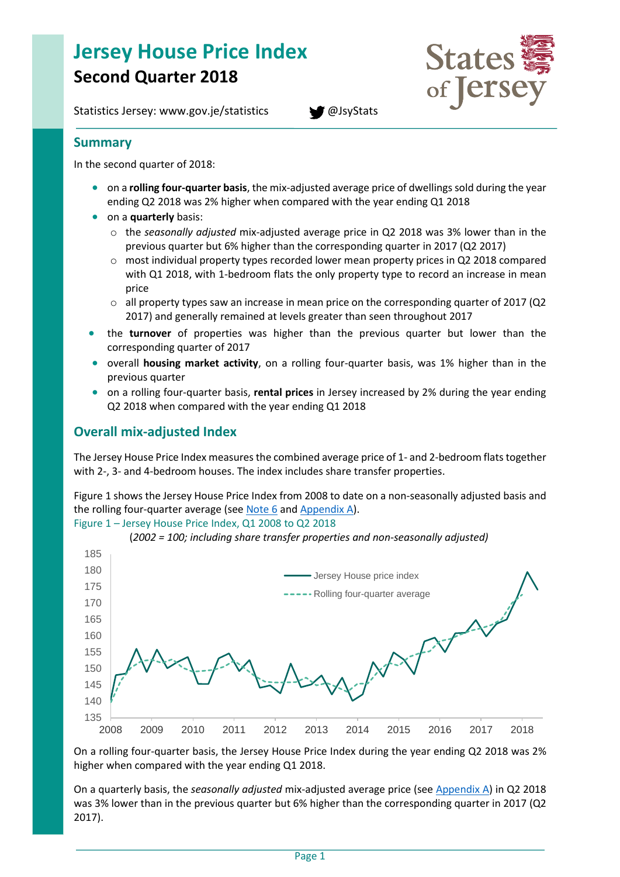# **Jersey House Price Index Second Quarter 2018**

Statistics Jersey: www.gov.je/statistics **[@JsyStats](http://www.twitter.com/JsyStats)** 



**Summary**

In the second quarter of 2018:

- on a **rolling four-quarter basis**, the mix-adjusted average price of dwellings sold during the year ending Q2 2018 was 2% higher when compared with the year ending Q1 2018
- on a **quarterly** basis:
	- o the *seasonally adjusted* mix-adjusted average price in Q2 2018 was 3% lower than in the previous quarter but 6% higher than the corresponding quarter in 2017 (Q2 2017)
	- $\circ$  most individual property types recorded lower mean property prices in Q2 2018 compared with Q1 2018, with 1-bedroom flats the only property type to record an increase in mean price
	- o all property types saw an increase in mean price on the corresponding quarter of 2017 (Q2 2017) and generally remained at levels greater than seen throughout 2017
- the **turnover** of properties was higher than the previous quarter but lower than the corresponding quarter of 2017
- **•** overall **housing market activity**, on a rolling four-quarter basis, was 1% higher than in the previous quarter
- on a rolling four-quarter basis, **rental prices** in Jersey increased by 2% during the year ending Q2 2018 when compared with the year ending Q1 2018

# **Overall mix-adjusted Index**

The Jersey House Price Index measures the combined average price of 1- and 2-bedroom flats together with 2-, 3- and 4-bedroom houses. The index includes share transfer properties.

Figure 1 shows the Jersey House Price Index from 2008 to date on a non-seasonally adjusted basis and the rolling four-quarter average (see [Note 6](#page-11-0) and [Appendix A\)](#page-12-0).

Figure 1 – Jersey House Price Index, Q1 2008 to Q2 2018



(*2002 = 100; including share transfer properties and non-seasonally adjusted)*

On a rolling four-quarter basis, the Jersey House Price Index during the year ending Q2 2018 was 2% higher when compared with the year ending Q1 2018.

On a quarterly basis, the *seasonally adjusted* mix-adjusted average price (se[e Appendix A\)](#page-12-0) in Q2 2018 was 3% lower than in the previous quarter but 6% higher than the corresponding quarter in 2017 (Q2 2017).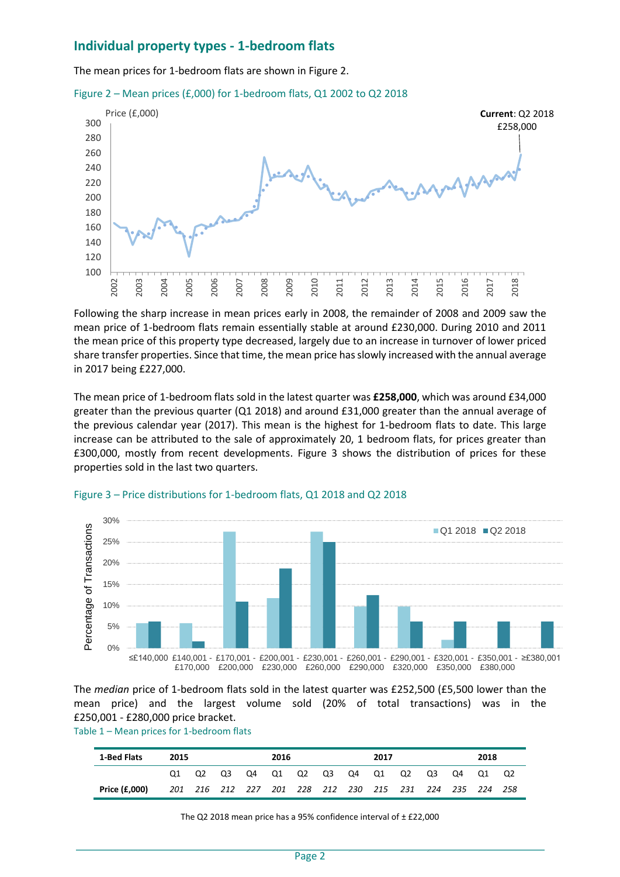### **Individual property types - 1-bedroom flats**

The mean prices for 1-bedroom flats are shown in Figure 2.





Following the sharp increase in mean prices early in 2008, the remainder of 2008 and 2009 saw the mean price of 1-bedroom flats remain essentially stable at around £230,000. During 2010 and 2011 the mean price of this property type decreased, largely due to an increase in turnover of lower priced share transfer properties. Since that time, the mean price has slowly increased with the annual average in 2017 being £227,000.

The mean price of 1-bedroom flats sold in the latest quarter was **£258,000**, which was around £34,000 greater than the previous quarter (Q1 2018) and around £31,000 greater than the annual average of the previous calendar year (2017). This mean is the highest for 1-bedroom flats to date. This large increase can be attributed to the sale of approximately 20, 1 bedroom flats, for prices greater than £300,000, mostly from recent developments. Figure 3 shows the distribution of prices for these properties sold in the last two quarters.



#### Figure 3 – Price distributions for 1-bedroom flats, Q1 2018 and Q2 2018

The *median* price of 1-bedroom flats sold in the latest quarter was £252,500 (£5,500 lower than the mean price) and the largest volume sold (20% of total transactions) was in the £250,001 - £280,000 price bracket.

Table 1 – Mean prices for 1-bedroom flats

| 1-Bed Flats   | 2015 |                                                         |  | 2016 |  |  |  | 2017 |  |  | 2018 |       |  |      |
|---------------|------|---------------------------------------------------------|--|------|--|--|--|------|--|--|------|-------|--|------|
|               |      | Q2 Q3 Q4 Q1 Q2 Q3 Q4 Q1 Q2 Q3                           |  |      |  |  |  |      |  |  |      | Q4 Q1 |  | - Q2 |
| Price (£,000) |      | 201 216 212 227 201 228 212 230 215 231 224 235 224 258 |  |      |  |  |  |      |  |  |      |       |  |      |

The Q2 2018 mean price has a 95% confidence interval of  $\pm$  £22,000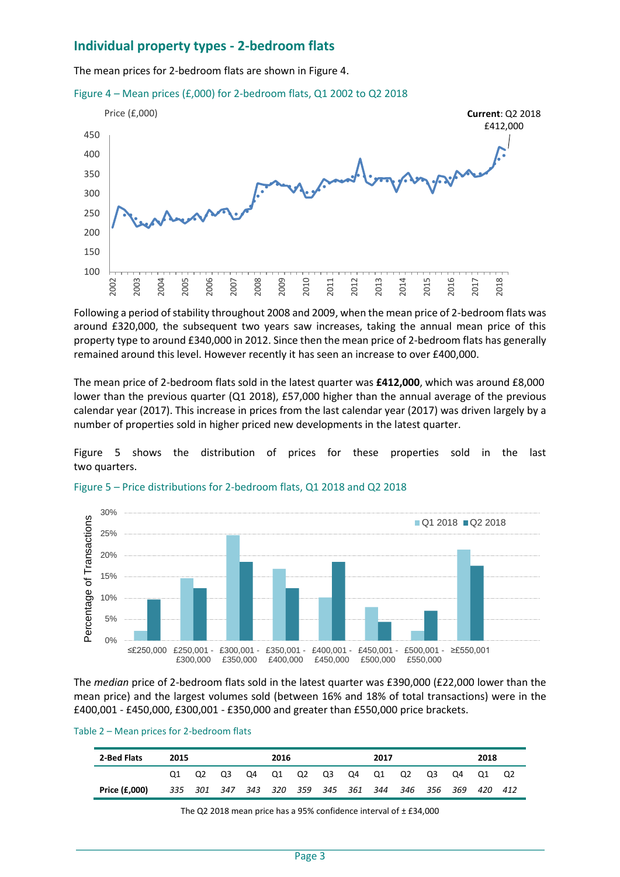### **Individual property types - 2-bedroom flats**

The mean prices for 2-bedroom flats are shown in Figure 4.





Following a period of stability throughout 2008 and 2009, when the mean price of 2-bedroom flats was around £320,000, the subsequent two years saw increases, taking the annual mean price of this property type to around £340,000 in 2012. Since then the mean price of 2-bedroom flats has generally remained around this level. However recently it has seen an increase to over £400,000.

The mean price of 2-bedroom flats sold in the latest quarter was **£412,000**, which was around £8,000 lower than the previous quarter (Q1 2018), £57,000 higher than the annual average of the previous calendar year (2017). This increase in prices from the last calendar year (2017) was driven largely by a number of properties sold in higher priced new developments in the latest quarter.

Figure 5 shows the distribution of prices for these properties sold in the last two quarters.



Figure 5 – Price distributions for 2-bedroom flats, Q1 2018 and Q2 2018

The *median* price of 2-bedroom flats sold in the latest quarter was £390,000 (£22,000 lower than the mean price) and the largest volumes sold (between 16% and 18% of total transactions) were in the £400,001 - £450,000, £300,001 - £350,000 and greater than £550,000 price brackets.

| Table 2 - Mean prices for 2-bedroom flats |  |  |  |
|-------------------------------------------|--|--|--|
|-------------------------------------------|--|--|--|

| 2-Bed Flats   | 2015 |  |       | 2016 |  |  |  | 2017           |                                                         |    | 2018 |       |  |    |
|---------------|------|--|-------|------|--|--|--|----------------|---------------------------------------------------------|----|------|-------|--|----|
|               |      |  | Q2 Q3 | O4   |  |  |  | Q1 Q2 Q3 Q4 Q1 |                                                         | Q2 | Q3   | Q4 Q1 |  | O2 |
| Price (£,000) |      |  |       |      |  |  |  |                | 335 301 347 343 320 359 345 361 344 346 356 369 420 412 |    |      |       |  |    |

The Q2 2018 mean price has a 95% confidence interval of ± £34,000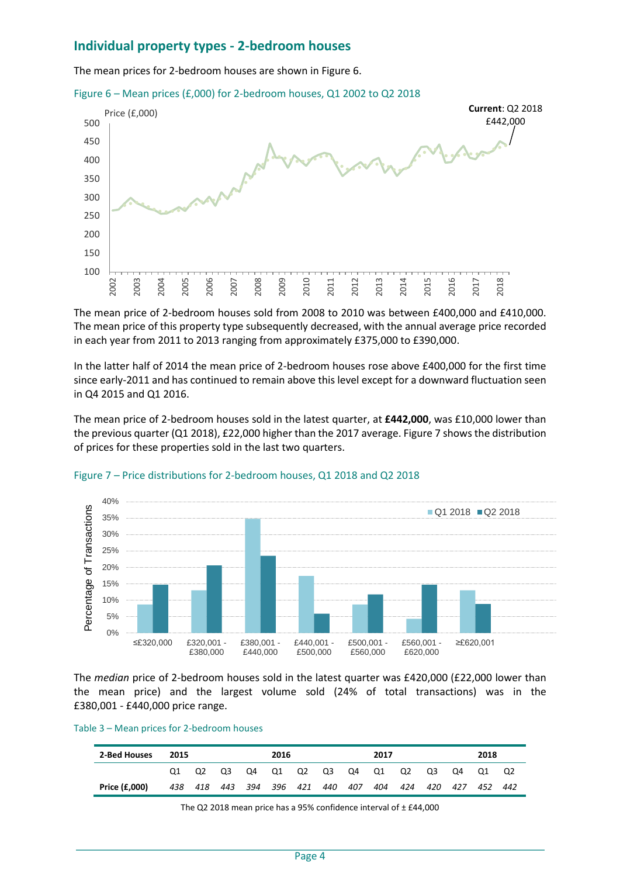### **Individual property types - 2-bedroom houses**

The mean prices for 2-bedroom houses are shown in Figure 6.





The mean price of 2-bedroom houses sold from 2008 to 2010 was between £400,000 and £410,000. The mean price of this property type subsequently decreased, with the annual average price recorded in each year from 2011 to 2013 ranging from approximately £375,000 to £390,000.

In the latter half of 2014 the mean price of 2-bedroom houses rose above £400,000 for the first time since early-2011 and has continued to remain above this level except for a downward fluctuation seen in Q4 2015 and Q1 2016.

The mean price of 2-bedroom houses sold in the latest quarter, at **£442,000**, was £10,000 lower than the previous quarter (Q1 2018), £22,000 higher than the 2017 average. Figure 7 shows the distribution of prices for these properties sold in the last two quarters.



#### Figure 7 – Price distributions for 2-bedroom houses, Q1 2018 and Q2 2018

The *median* price of 2-bedroom houses sold in the latest quarter was £420,000 (£22,000 lower than the mean price) and the largest volume sold (24% of total transactions) was in the £380,001 - £440,000 price range.

|  |  |  | Table 3 - Mean prices for 2-bedroom houses |
|--|--|--|--------------------------------------------|
|  |  |  |                                            |

| 2-Bed Houses  | 2015 |             |       | 2016 |    |  |             | 2017 |     |     | 2018 |     |     |     |
|---------------|------|-------------|-------|------|----|--|-------------|------|-----|-----|------|-----|-----|-----|
|               |      |             | Q2 Q3 | Q4   | Q1 |  | Q2 Q3 Q4 Q1 |      |     | Q2  | Q3   | Q4  | O1  | Q2  |
| Price (£,000) | 438  | 418 443 394 |       |      |    |  | 396 421 440 | 407  | 404 | 424 | 420  | 427 | 452 | 442 |

The Q2 2018 mean price has a 95% confidence interval of  $\pm$  £44,000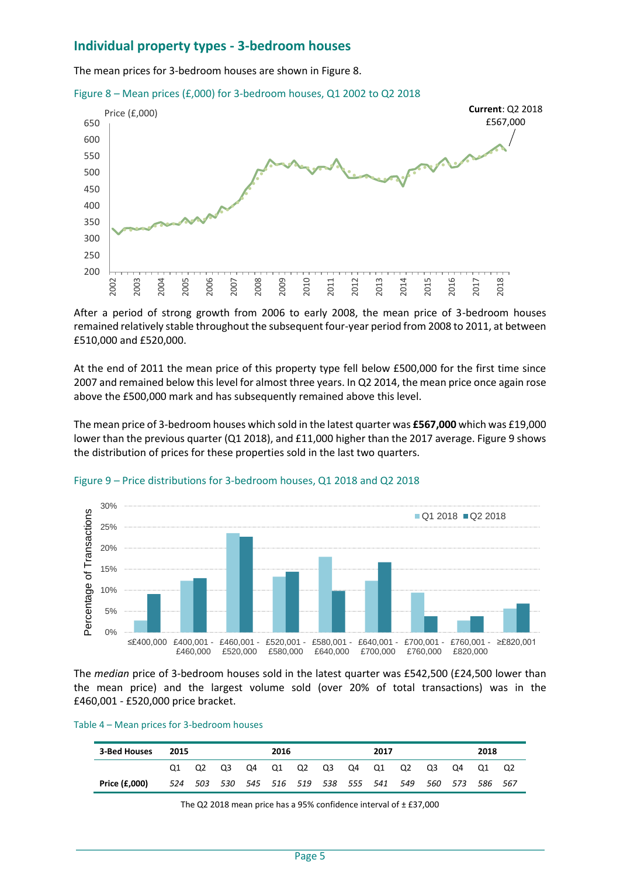### **Individual property types - 3-bedroom houses**

The mean prices for 3-bedroom houses are shown in Figure 8.





After a period of strong growth from 2006 to early 2008, the mean price of 3-bedroom houses remained relatively stable throughout the subsequent four-year period from 2008 to 2011, at between £510,000 and £520,000.

At the end of 2011 the mean price of this property type fell below £500,000 for the first time since 2007 and remained below this level for almost three years. In Q2 2014, the mean price once again rose above the £500,000 mark and has subsequently remained above this level.

The mean price of 3-bedroom houses which sold in the latest quarter was **£567,000** which was £19,000 lower than the previous quarter (Q1 2018), and £11,000 higher than the 2017 average. Figure 9 shows the distribution of prices for these properties sold in the last two quarters.



#### Figure 9 – Price distributions for 3-bedroom houses, Q1 2018 and Q2 2018

The *median* price of 3-bedroom houses sold in the latest quarter was £542,500 (£24,500 lower than the mean price) and the largest volume sold (over 20% of total transactions) was in the £460,001 - £520,000 price bracket.

| 3-Bed Houses  | 2015 |  |             | 2016 |    |          | 2017 |                                                         |    |    | 2018 |  |
|---------------|------|--|-------------|------|----|----------|------|---------------------------------------------------------|----|----|------|--|
|               |      |  | Q2 Q3 Q4 Q1 |      | Q2 | Q3 Q4 Q1 |      | Q2                                                      | Q3 | Q4 | O1   |  |
| Price (£,000) |      |  |             |      |    |          |      | 524 503 530 545 516 519 538 555 541 549 560 573 586 567 |    |    |      |  |

The Q2 2018 mean price has a 95% confidence interval of  $\pm$  £37,000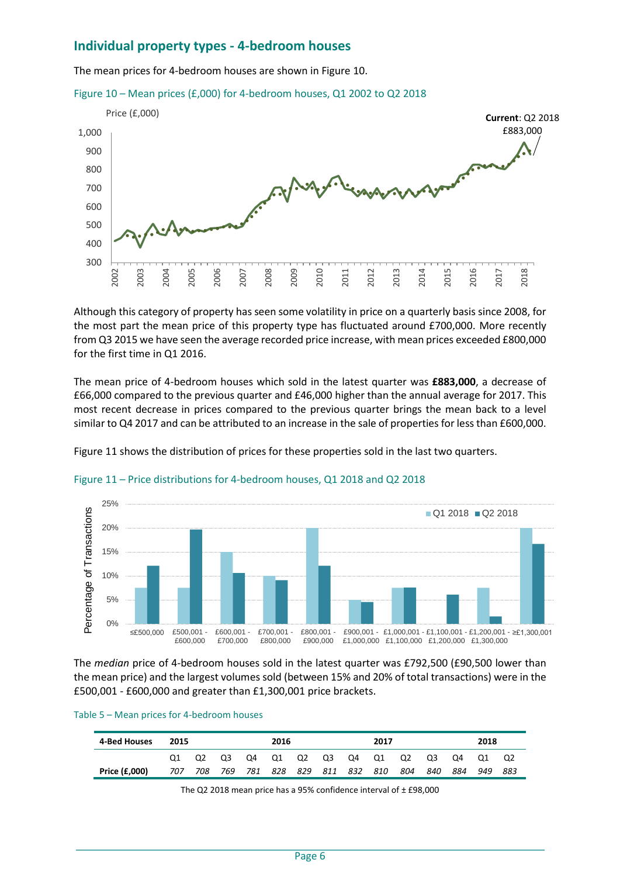### **Individual property types - 4-bedroom houses**

The mean prices for 4-bedroom houses are shown in Figure 10.





Although this category of property has seen some volatility in price on a quarterly basis since 2008, for the most part the mean price of this property type has fluctuated around £700,000. More recently from Q3 2015 we have seen the average recorded price increase, with mean prices exceeded £800,000 for the first time in Q1 2016.

The mean price of 4-bedroom houses which sold in the latest quarter was **£883,000**, a decrease of £66,000 compared to the previous quarter and £46,000 higher than the annual average for 2017. This most recent decrease in prices compared to the previous quarter brings the mean back to a level similar to Q4 2017 and can be attributed to an increase in the sale of properties for less than £600,000.

Figure 11 shows the distribution of prices for these properties sold in the last two quarters.



#### Figure 11 – Price distributions for 4-bedroom houses, Q1 2018 and Q2 2018

The *median* price of 4-bedroom houses sold in the latest quarter was £792,500 (£90,500 lower than the mean price) and the largest volumes sold (between 15% and 20% of total transactions) were in the £500,001 - £600,000 and greater than £1,300,001 price brackets.

|  | Table 5 - Mean prices for 4-bedroom houses |
|--|--------------------------------------------|
|  |                                            |

| 4-Bed Houses         | 2015 |     |     |     | 2016        |       |  |     | 2017 |     |     | 2018 |     |     |
|----------------------|------|-----|-----|-----|-------------|-------|--|-----|------|-----|-----|------|-----|-----|
|                      |      |     | O3  | O4  | - 01        | Q2 Q3 |  | Q4  | O1   | Q2  | O3  | Q4   | O1  | Q2  |
| <b>Price (£,000)</b> | 707  | 708 | 769 | 781 | 828 829 811 |       |  | 832 | 810  | 804 | 840 | 884  | 949 | 883 |

The Q2 2018 mean price has a 95% confidence interval of  $\pm$  £98,000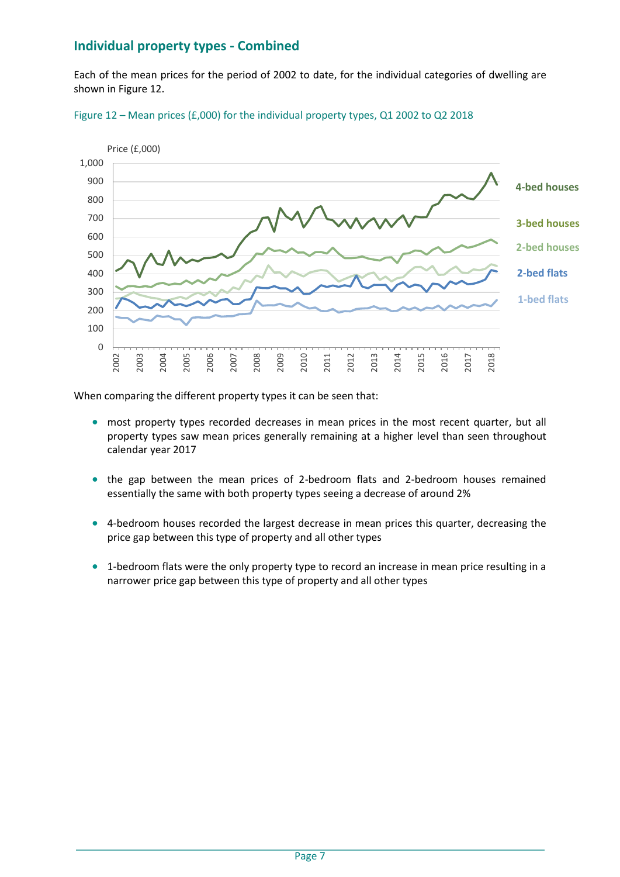# **Individual property types - Combined**

Each of the mean prices for the period of 2002 to date, for the individual categories of dwelling are shown in Figure 12.





When comparing the different property types it can be seen that:

- most property types recorded decreases in mean prices in the most recent quarter, but all property types saw mean prices generally remaining at a higher level than seen throughout calendar year 2017
- the gap between the mean prices of 2-bedroom flats and 2-bedroom houses remained essentially the same with both property types seeing a decrease of around 2%
- 4-bedroom houses recorded the largest decrease in mean prices this quarter, decreasing the price gap between this type of property and all other types
- 1-bedroom flats were the only property type to record an increase in mean price resulting in a narrower price gap between this type of property and all other types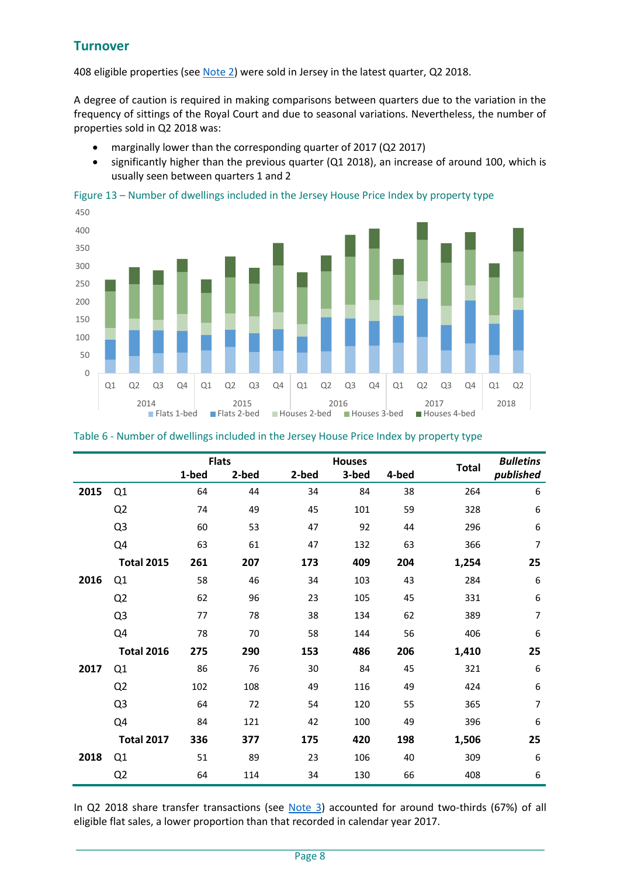# **Turnover**

408 eligible properties (se[e Note 2\)](#page-10-0) were sold in Jersey in the latest quarter, Q2 2018.

A degree of caution is required in making comparisons between quarters due to the variation in the frequency of sittings of the Royal Court and due to seasonal variations. Nevertheless, the number of properties sold in Q2 2018 was:

- marginally lower than the corresponding quarter of 2017 (Q2 2017)
- significantly higher than the previous quarter (Q1 2018), an increase of around 100, which is usually seen between quarters 1 and 2

Figure 13 – Number of dwellings included in the Jersey House Price Index by property type



| Table 6 - Number of dwellings included in the Jersey House Price Index by property type |  |  |  |  |
|-----------------------------------------------------------------------------------------|--|--|--|--|
|-----------------------------------------------------------------------------------------|--|--|--|--|

|      |                   |       | <b>Flats</b> |       | <b>Houses</b> |       | <b>Total</b> | <b>Bulletins</b> |
|------|-------------------|-------|--------------|-------|---------------|-------|--------------|------------------|
|      |                   | 1-bed | 2-bed        | 2-bed | 3-bed         | 4-bed |              | published        |
| 2015 | Q1                | 64    | 44           | 34    | 84            | 38    | 264          | 6                |
|      | Q <sub>2</sub>    | 74    | 49           | 45    | 101           | 59    | 328          | 6                |
|      | Q <sub>3</sub>    | 60    | 53           | 47    | 92            | 44    | 296          | 6                |
|      | Q4                | 63    | 61           | 47    | 132           | 63    | 366          | 7                |
|      | <b>Total 2015</b> | 261   | 207          | 173   | 409           | 204   | 1,254        | 25               |
| 2016 | Q1                | 58    | 46           | 34    | 103           | 43    | 284          | 6                |
|      | Q <sub>2</sub>    | 62    | 96           | 23    | 105           | 45    | 331          | 6                |
|      | Q <sub>3</sub>    | 77    | 78           | 38    | 134           | 62    | 389          | 7                |
|      | Q4                | 78    | 70           | 58    | 144           | 56    | 406          | 6                |
|      | <b>Total 2016</b> | 275   | 290          | 153   | 486           | 206   | 1,410        | 25               |
| 2017 | Q1                | 86    | 76           | 30    | 84            | 45    | 321          | 6                |
|      | Q <sub>2</sub>    | 102   | 108          | 49    | 116           | 49    | 424          | 6                |
|      | Q <sub>3</sub>    | 64    | 72           | 54    | 120           | 55    | 365          | 7                |
|      | Q4                | 84    | 121          | 42    | 100           | 49    | 396          | 6                |
|      | <b>Total 2017</b> | 336   | 377          | 175   | 420           | 198   | 1,506        | 25               |
| 2018 | Q1                | 51    | 89           | 23    | 106           | 40    | 309          | 6                |
|      | Q <sub>2</sub>    | 64    | 114          | 34    | 130           | 66    | 408          | 6                |

In Q2 2018 share transfer transactions (see [Note 3\)](#page-10-1) accounted for around two-thirds (67%) of all eligible flat sales, a lower proportion than that recorded in calendar year 2017.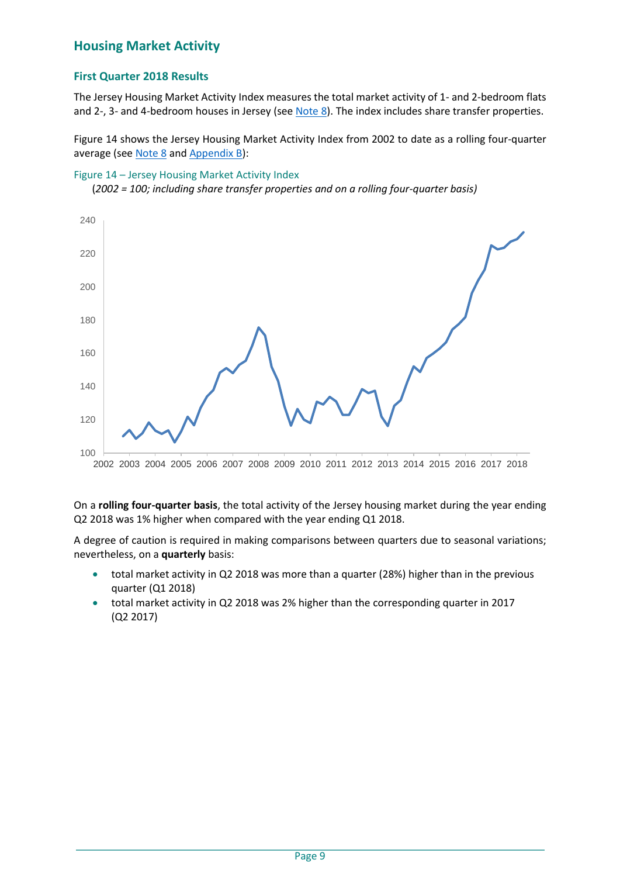# **Housing Market Activity**

### **First Quarter 2018 Results**

The Jersey Housing Market Activity Index measures the total market activity of 1- and 2-bedroom flats and 2-, 3- and 4-bedroom houses in Jersey (se[e Note 8\)](#page-11-1). The index includes share transfer properties.

Figure 14 shows the Jersey Housing Market Activity Index from 2002 to date as a rolling four-quarter average (see [Note 8](#page-11-1) and Appendix B):

#### Figure 14 – Jersey Housing Market Activity Index

(*2002 = 100; including share transfer properties and on a rolling four-quarter basis)*



On a **rolling four-quarter basis**, the total activity of the Jersey housing market during the year ending Q2 2018 was 1% higher when compared with the year ending Q1 2018.

A degree of caution is required in making comparisons between quarters due to seasonal variations; nevertheless, on a **quarterly** basis:

- total market activity in Q2 2018 was more than a quarter (28%) higher than in the previous quarter (Q1 2018)
- total market activity in Q2 2018 was 2% higher than the corresponding quarter in 2017 (Q2 2017)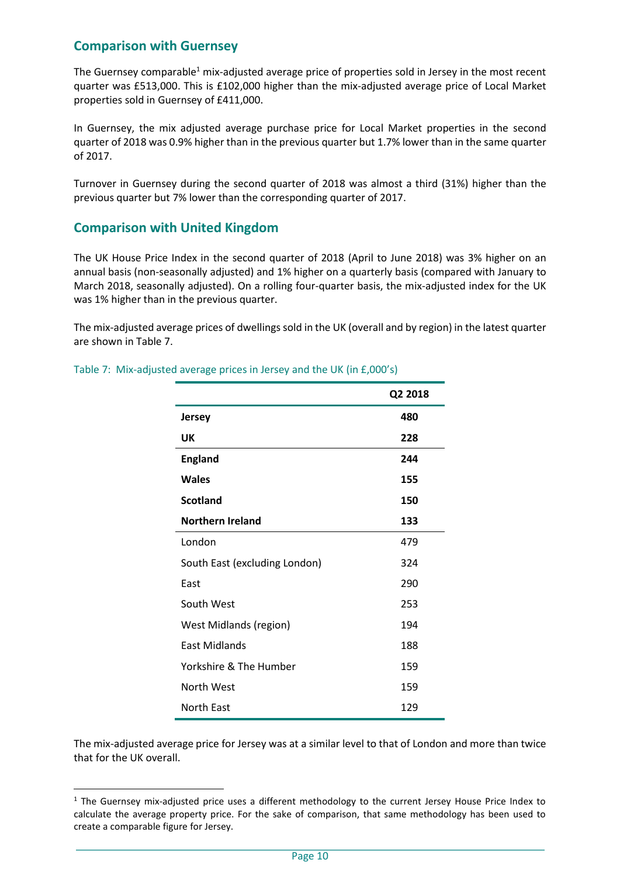### **Comparison with Guernsey**

The Guernsey comparable<sup>1</sup> mix-adjusted average price of properties sold in Jersey in the most recent quarter was £513,000. This is £102,000 higher than the mix-adjusted average price of Local Market properties sold in Guernsey of £411,000.

In Guernsey, the mix adjusted average purchase price for Local Market properties in the second quarter of 2018 was 0.9% higher than in the previous quarter but 1.7% lower than in the same quarter of 2017.

Turnover in Guernsey during the second quarter of 2018 was almost a third (31%) higher than the previous quarter but 7% lower than the corresponding quarter of 2017.

### **Comparison with United Kingdom**

l

The UK House Price Index in the second quarter of 2018 (April to June 2018) was 3% higher on an annual basis (non-seasonally adjusted) and 1% higher on a quarterly basis (compared with January to March 2018, seasonally adjusted). On a rolling four-quarter basis, the mix-adjusted index for the UK was 1% higher than in the previous quarter.

The mix-adjusted average prices of dwellings sold in the UK (overall and by region) in the latest quarter are shown in Table 7.

|                               | Q2 2018 |
|-------------------------------|---------|
| Jersey                        | 480     |
| UK                            | 228     |
| <b>England</b>                | 244     |
| Wales                         | 155     |
| <b>Scotland</b>               | 150     |
| <b>Northern Ireland</b>       | 133     |
| London                        | 479     |
| South East (excluding London) | 324     |
| East                          | 290     |
| South West                    | 253     |
| <b>West Midlands (region)</b> | 194     |
| <b>East Midlands</b>          | 188     |
| Yorkshire & The Humber        | 159     |
| North West                    | 159     |
| North East                    | 129     |

Table 7: Mix-adjusted average prices in Jersey and the UK (in £,000's)

The mix-adjusted average price for Jersey was at a similar level to that of London and more than twice that for the UK overall.

 $1$  The Guernsey mix-adjusted price uses a different methodology to the current Jersey House Price Index to calculate the average property price. For the sake of comparison, that same methodology has been used to create a comparable figure for Jersey.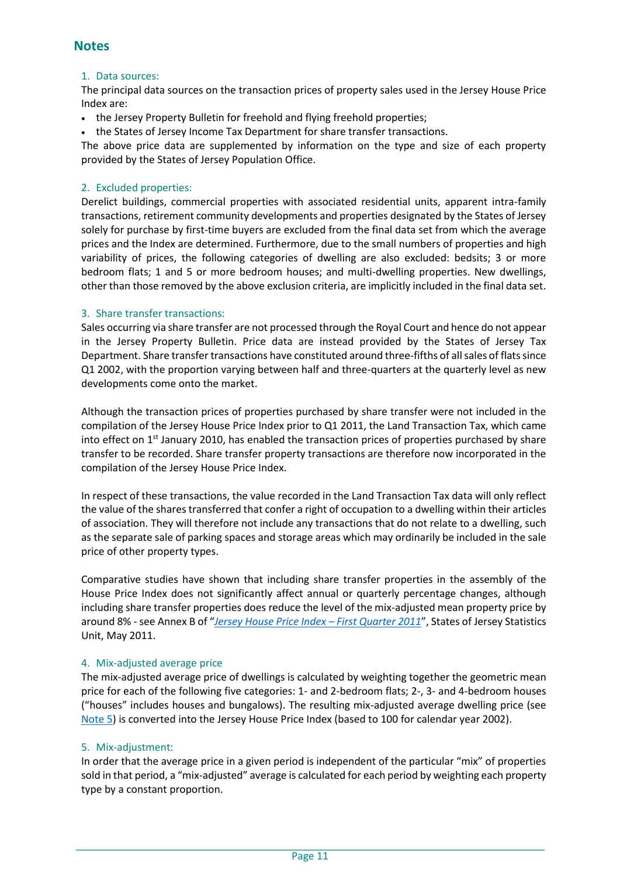### **Notes**

#### 1. Data sources:

The principal data sources on the transaction prices of property sales used in the Jersey House Price Index are:

- the Jersey Property Bulletin for freehold and flying freehold properties;
- the States of Jersey Income Tax Department for share transfer transactions.

The above price data are supplemented by information on the type and size of each property provided by the States of Jersey Population Office.

#### <span id="page-10-0"></span>2. Excluded properties:

Derelict buildings, commercial properties with associated residential units, apparent intra-family transactions, retirement community developments and properties designated by the States of Jersey solely for purchase by first-time buyers are excluded from the final data set from which the average prices and the Index are determined. Furthermore, due to the small numbers of properties and high variability of prices, the following categories of dwelling are also excluded: bedsits; 3 or more bedroom flats; 1 and 5 or more bedroom houses; and multi-dwelling properties. New dwellings, other than those removed by the above exclusion criteria, are implicitly included in the final data set.

#### <span id="page-10-1"></span>3. Share transfer transactions:

Sales occurring via share transfer are not processed through the Royal Court and hence do not appear in the Jersey Property Bulletin. Price data are instead provided by the States of Jersey Tax Department. Share transfer transactions have constituted around three-fifths of all sales of flats since Q1 2002, with the proportion varying between half and three-quarters at the quarterly level as new developments come onto the market.

Although the transaction prices of properties purchased by share transfer were not included in the compilation of the Jersey House Price Index prior to Q1 2011, the Land Transaction Tax, which came into effect on  $1<sup>st</sup>$  January 2010, has enabled the transaction prices of properties purchased by share transfer to be recorded. Share transfer property transactions are therefore now incorporated in the compilation of the Jersey House Price Index.

In respect of these transactions, the value recorded in the Land Transaction Tax data will only reflect the value of the shares transferred that confer a right of occupation to a dwelling within their articles of association. They will therefore not include any transactions that do not relate to a dwelling, such as the separate sale of parking spaces and storage areas which may ordinarily be included in the sale price of other property types.

Comparative studies have shown that including share transfer properties in the assembly of the House Price Index does not significantly affect annual or quarterly percentage changes, although including share transfer properties does reduce the level of the mix-adjusted mean property price by around 8% - see Annex B of "*[Jersey House Price Index](http://www.gov.je/SiteCollectionDocuments/Government%20and%20administration/R%20HousePriceIndexQ12011%2020110519%20SU.pdf) – First Quarter 2011*", States of Jersey Statistics Unit, May 2011.

#### 4. Mix-adjusted average price

The mix-adjusted average price of dwellings is calculated by weighting together the geometric mean price for each of the following five categories: 1- and 2-bedroom flats; 2-, 3- and 4-bedroom houses ("houses" includes houses and bungalows). The resulting mix-adjusted average dwelling price (see [Note 5\)](#page-10-2) is converted into the Jersey House Price Index (based to 100 for calendar year 2002).

#### <span id="page-10-2"></span>5. Mix-adjustment:

In order that the average price in a given period is independent of the particular "mix" of properties sold in that period, a "mix-adjusted" average is calculated for each period by weighting each property type by a constant proportion.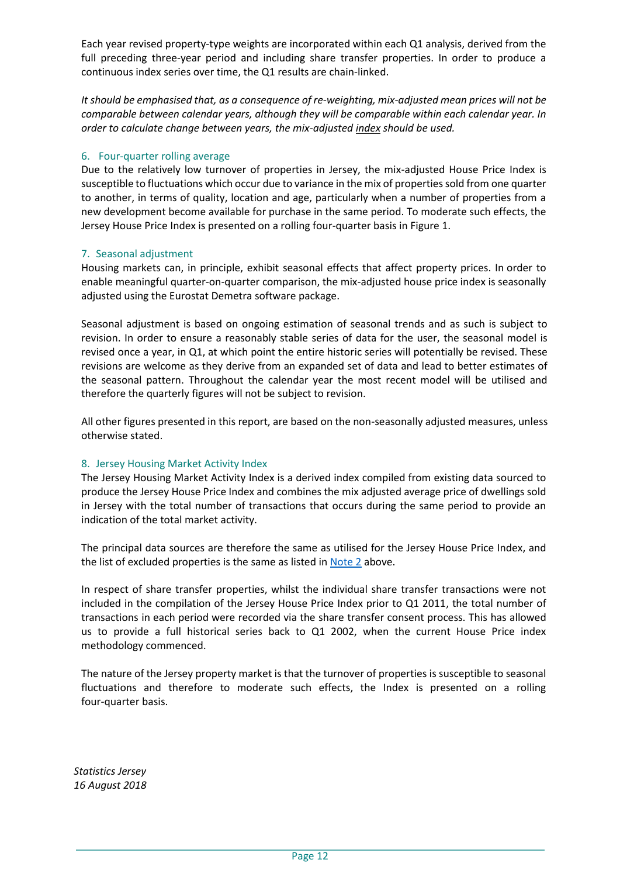Each year revised property-type weights are incorporated within each Q1 analysis, derived from the full preceding three-year period and including share transfer properties. In order to produce a continuous index series over time, the Q1 results are chain-linked.

*It should be emphasised that, as a consequence of re-weighting, mix-adjusted mean prices will not be comparable between calendar years, although they will be comparable within each calendar year. In order to calculate change between years, the mix-adjusted index should be used.*

#### <span id="page-11-0"></span>6. Four-quarter rolling average

Due to the relatively low turnover of properties in Jersey, the mix-adjusted House Price Index is susceptible to fluctuations which occur due to variance in the mix of properties sold from one quarter to another, in terms of quality, location and age, particularly when a number of properties from a new development become available for purchase in the same period. To moderate such effects, the Jersey House Price Index is presented on a rolling four-quarter basis in Figure 1.

### 7. Seasonal adjustment

Housing markets can, in principle, exhibit seasonal effects that affect property prices. In order to enable meaningful quarter-on-quarter comparison, the mix-adjusted house price index is seasonally adjusted using the Eurostat Demetra software package.

Seasonal adjustment is based on ongoing estimation of seasonal trends and as such is subject to revision. In order to ensure a reasonably stable series of data for the user, the seasonal model is revised once a year, in Q1, at which point the entire historic series will potentially be revised. These revisions are welcome as they derive from an expanded set of data and lead to better estimates of the seasonal pattern. Throughout the calendar year the most recent model will be utilised and therefore the quarterly figures will not be subject to revision.

All other figures presented in this report, are based on the non-seasonally adjusted measures, unless otherwise stated.

### <span id="page-11-1"></span>8. Jersey Housing Market Activity Index

The Jersey Housing Market Activity Index is a derived index compiled from existing data sourced to produce the Jersey House Price Index and combines the mix adjusted average price of dwellings sold in Jersey with the total number of transactions that occurs during the same period to provide an indication of the total market activity.

The principal data sources are therefore the same as utilised for the Jersey House Price Index, and the list of excluded properties is the same as listed in **Note 2** above.

In respect of share transfer properties, whilst the individual share transfer transactions were not included in the compilation of the Jersey House Price Index prior to Q1 2011, the total number of transactions in each period were recorded via the share transfer consent process. This has allowed us to provide a full historical series back to Q1 2002, when the current House Price index methodology commenced.

The nature of the Jersey property market is that the turnover of properties is susceptible to seasonal fluctuations and therefore to moderate such effects, the Index is presented on a rolling four-quarter basis.

*Statistics Jersey 16 August 2018*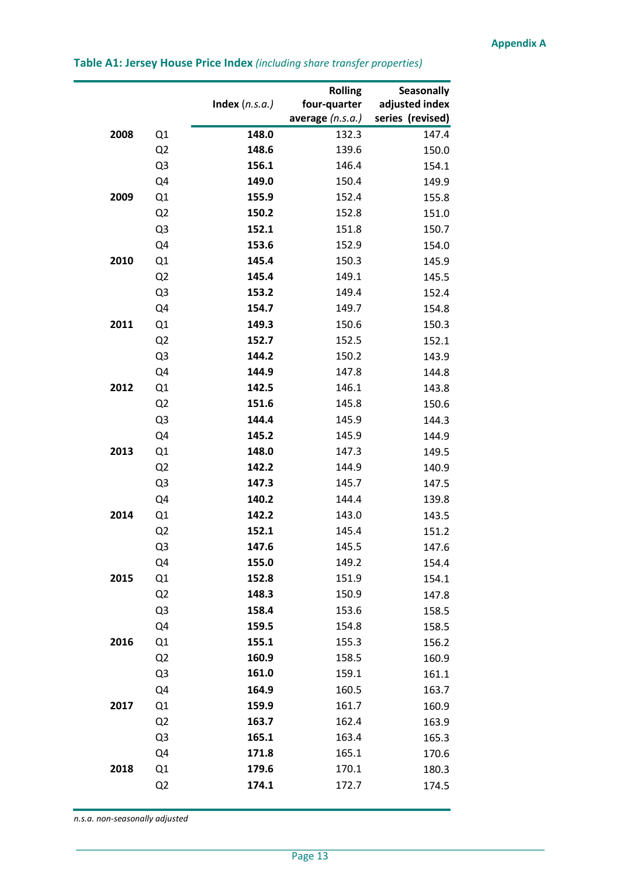|      |                | Index $(n.s.a.)$ | <b>Rolling</b><br>four-quarter<br>average $(n.s.a.)$ | <b>Seasonally</b><br>adjusted index<br>series (revised) |
|------|----------------|------------------|------------------------------------------------------|---------------------------------------------------------|
| 2008 | Q1             | 148.0            | 132.3                                                | 147.4                                                   |
|      | Q <sub>2</sub> | 148.6            | 139.6                                                | 150.0                                                   |
|      | Q3             | 156.1            | 146.4                                                | 154.1                                                   |
|      | Q4             | 149.0            | 150.4                                                | 149.9                                                   |
| 2009 | Q1             | 155.9            | 152.4                                                | 155.8                                                   |
|      | Q <sub>2</sub> | 150.2            | 152.8                                                | 151.0                                                   |
|      | Q3             | 152.1            | 151.8                                                | 150.7                                                   |
|      | Q4             | 153.6            | 152.9                                                | 154.0                                                   |
| 2010 | Q1             | 145.4            | 150.3                                                | 145.9                                                   |
|      | Q <sub>2</sub> | 145.4            | 149.1                                                | 145.5                                                   |
|      | Q3             | 153.2            | 149.4                                                | 152.4                                                   |
|      | Q4             | 154.7            | 149.7                                                | 154.8                                                   |
| 2011 | Q1             | 149.3            | 150.6                                                | 150.3                                                   |
|      | Q <sub>2</sub> | 152.7            | 152.5                                                | 152.1                                                   |
|      | Q3             | 144.2            | 150.2                                                | 143.9                                                   |
|      | Q4             | 144.9            | 147.8                                                | 144.8                                                   |
| 2012 | Q1             | 142.5            | 146.1                                                | 143.8                                                   |
|      | Q <sub>2</sub> | 151.6            | 145.8                                                | 150.6                                                   |
|      | Q <sub>3</sub> | 144.4            | 145.9                                                | 144.3                                                   |
|      | Q4             | 145.2            | 145.9                                                | 144.9                                                   |
| 2013 | Q1             | 148.0            | 147.3                                                | 149.5                                                   |
|      | Q <sub>2</sub> | 142.2            | 144.9                                                | 140.9                                                   |
|      | Q3             | 147.3            | 145.7                                                | 147.5                                                   |
|      | Q4             | 140.2            | 144.4                                                | 139.8                                                   |
| 2014 | Q1             | 142.2            | 143.0                                                | 143.5                                                   |
|      | Q <sub>2</sub> | 152.1            | 145.4                                                | 151.2                                                   |
|      | Q3             | 147.6            | 145.5                                                | 147.6                                                   |
|      | Q4             | 155.0            | 149.2                                                | 154.4                                                   |
| 2015 | Q1             | 152.8            | 151.9                                                | 154.1                                                   |
|      | Q <sub>2</sub> | 148.3            | 150.9                                                | 147.8                                                   |
|      | Q3             | 158.4            | 153.6                                                | 158.5                                                   |
|      | Q4             | 159.5            | 154.8                                                | 158.5                                                   |
| 2016 | Q1             | 155.1            | 155.3                                                | 156.2                                                   |
|      | Q <sub>2</sub> | 160.9            | 158.5                                                | 160.9                                                   |
|      | Q3             | 161.0            | 159.1                                                | 161.1                                                   |
|      | Q4             | 164.9            | 160.5                                                | 163.7                                                   |
| 2017 | Q1             | 159.9            | 161.7                                                | 160.9                                                   |
|      | Q <sub>2</sub> | 163.7            | 162.4                                                | 163.9                                                   |
|      | Q <sub>3</sub> | 165.1            | 163.4                                                | 165.3                                                   |
|      | Q4             | 171.8            | 165.1                                                | 170.6                                                   |
| 2018 | Q1             | 179.6            | 170.1                                                | 180.3                                                   |
|      | Q <sub>2</sub> | 174.1            | 172.7                                                | 174.5                                                   |
|      |                |                  |                                                      |                                                         |

### <span id="page-12-0"></span>**Table A1: Jersey House Price Index** *(including share transfer properties)*

*n.s.a. non-seasonally adjusted*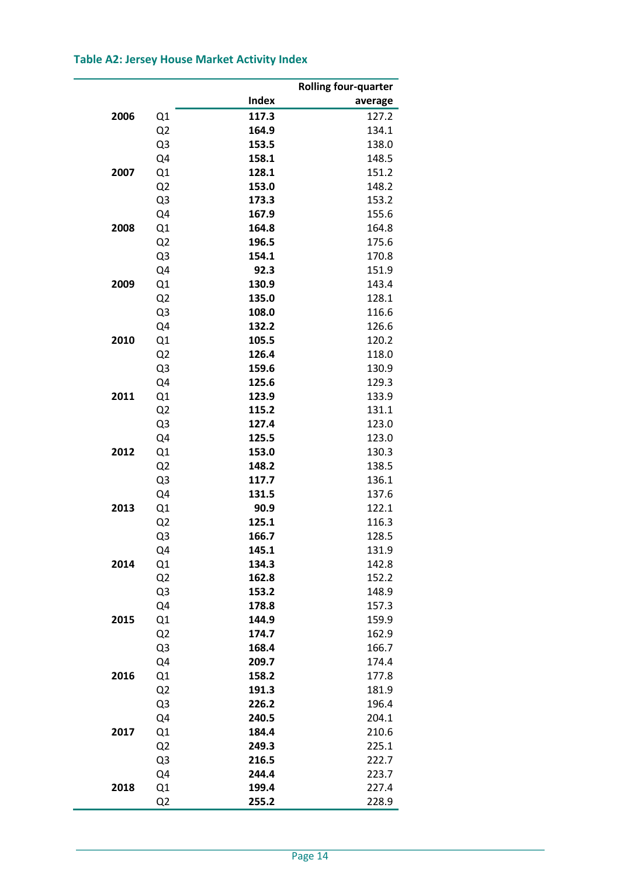# **Table A2: Jersey House Market Activity Index**

|      |                |               | <b>Rolling four-quarter</b> |
|------|----------------|---------------|-----------------------------|
|      |                | Index         | average                     |
| 2006 | Q1             | 117.3         | 127.2                       |
|      | Q <sub>2</sub> | 164.9         | 134.1                       |
|      | Q3             | 153.5         | 138.0                       |
|      | Q4             | 158.1         | 148.5                       |
| 2007 | Q1             | 128.1         | 151.2                       |
|      | Q <sub>2</sub> | 153.0         | 148.2                       |
|      | Q3             | 173.3         | 153.2                       |
|      | Q4             | 167.9         | 155.6                       |
| 2008 | Q1             | 164.8         | 164.8                       |
|      | Q <sub>2</sub> | 196.5         | 175.6                       |
|      | Q3             | 154.1         | 170.8                       |
|      | Q4             | 92.3          | 151.9                       |
| 2009 | Q1             | 130.9         | 143.4                       |
|      | Q <sub>2</sub> | 135.0         | 128.1                       |
|      | Q3             | 108.0         | 116.6                       |
|      | Q4             | 132.2         | 126.6                       |
| 2010 | Q1             | 105.5         | 120.2                       |
|      | Q <sub>2</sub> | 126.4         | 118.0                       |
|      | Q3             | 159.6         | 130.9                       |
|      | Q4             | 125.6         | 129.3                       |
| 2011 | Q1             | 123.9         | 133.9                       |
|      | Q <sub>2</sub> | 115.2         | 131.1                       |
|      | Q3             | 127.4         | 123.0                       |
|      |                | 125.5         | 123.0                       |
| 2012 | Q4<br>Q1       | 153.0         | 130.3                       |
|      |                | 148.2         | 138.5                       |
|      | Q <sub>2</sub> | 117.7         | 136.1                       |
|      | Q3             |               | 137.6                       |
| 2013 | Q4             | 131.5<br>90.9 | 122.1                       |
|      | Q1             | 125.1         | 116.3                       |
|      | Q <sub>2</sub> | 166.7         | 128.5                       |
|      | Q3             | 145.1         |                             |
| 2014 | Q4             | 134.3         | 131.9<br>142.8              |
|      | Q1             | 162.8         | 152.2                       |
|      | Q <sub>2</sub> |               |                             |
|      | Q3             | 153.2         | 148.9                       |
|      | Q4             | 178.8         | 157.3                       |
| 2015 | Q1             | 144.9         | 159.9                       |
|      | Q <sub>2</sub> | 174.7         | 162.9                       |
|      | Q3             | 168.4         | 166.7                       |
|      | Q4             | 209.7         | 174.4                       |
| 2016 | Q1             | 158.2         | 177.8                       |
|      | Q <sub>2</sub> | 191.3         | 181.9                       |
|      | Q3             | 226.2         | 196.4                       |
|      | Q4             | 240.5         | 204.1                       |
| 2017 | Q1             | 184.4         | 210.6                       |
|      | Q <sub>2</sub> | 249.3         | 225.1                       |
|      | Q <sub>3</sub> | 216.5         | 222.7                       |
|      | Q4             | 244.4         | 223.7                       |
| 2018 | Q1             | 199.4         | 227.4                       |
|      | Q <sub>2</sub> | 255.2         | 228.9                       |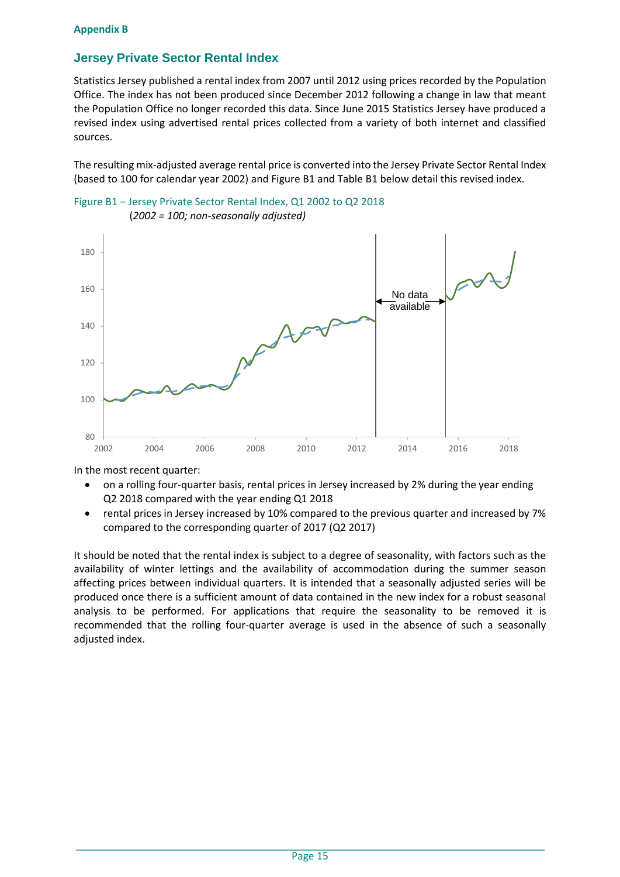### **Appendix B**

### **Jersey Private Sector Rental Index**

Statistics Jersey published a rental index from 2007 until 2012 using prices recorded by the Population Office. The index has not been produced since December 2012 following a change in law that meant the Population Office no longer recorded this data. Since June 2015 Statistics Jersey have produced a revised index using advertised rental prices collected from a variety of both internet and classified sources.

The resulting mix-adjusted average rental price is converted into the Jersey Private Sector Rental Index (based to 100 for calendar year 2002) and Figure B1 and Table B1 below detail this revised index.





In the most recent quarter:

- on a rolling four-quarter basis, rental prices in Jersey increased by 2% during the year ending Q2 2018 compared with the year ending Q1 2018
- rental prices in Jersey increased by 10% compared to the previous quarter and increased by 7% compared to the corresponding quarter of 2017 (Q2 2017)

It should be noted that the rental index is subject to a degree of seasonality, with factors such as the availability of winter lettings and the availability of accommodation during the summer season affecting prices between individual quarters. It is intended that a seasonally adjusted series will be produced once there is a sufficient amount of data contained in the new index for a robust seasonal analysis to be performed. For applications that require the seasonality to be removed it is recommended that the rolling four-quarter average is used in the absence of such a seasonally adjusted index.